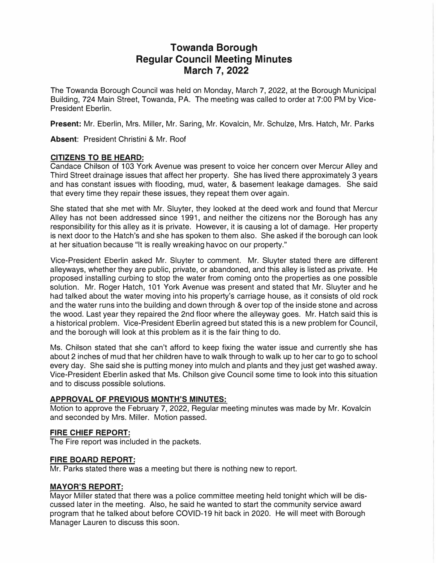# **Towanda Borough Regular Council Meeting Minutes March 7, 2022**

The Towanda Borough Council was held on Monday, March 7, 2022, at the Borough Municipal Building, 724 Main Street, Towanda, PA. The meeting was called to order at 7:00 PM by Vice-President Eberlin.

**Present:** Mr. Eberlin, Mrs. Miller, Mr. Saring, Mr. Kovalcin, Mr. Schulze, Mrs. Hatch, Mr. Parks

**Absent:** President Christini & Mr. Roof

# **CITIZENS TO BE HEARD:**

Candace Chilson of 103 York Avenue was present to voice her concern over Mercur Alley and Third Street drainage issues that affect her property. She has lived there approximately 3 years and has constant issues with flooding, mud, water, & basement leakage damages. She said that every time they repair these issues, they repeat them over again.

She stated that she met with Mr. Sluyter, they looked at the deed work and found that Mercur Alley has not been addressed since 1991, and neither the citizens nor the Borough has any responsibility for this alley as it is private. However, it is causing a lot of damage. Her property is next door to the Hatch's and she has spoken to them also. She asked if the borough can look at her situation because "It is really wreaking havoc on our property."

Vice-President Eberlin asked Mr. Sluyter to comment. Mr. Sluyter stated there are different alleyways, whether they are public, private, or abandoned, and this alley is listed as private. He proposed installing curbing to stop the water from coming onto the properties as one possible solution. Mr. Roger Hatch, 101 York Avenue was present and stated that Mr. Sluyter and he had talked about the water moving into his property's carriage house, as it consists of old rock and the water runs into the building and down through & over top of the inside stone and across the wood. Last year they repaired the 2nd floor where the alleyway goes. Mr. Hatch said this is a historical problem. Vice-President Eberlin agreed but stated this is a new problem for Council, and the borough will look at this problem as it is the fair thing to do.

Ms. Chilson stated that she can't afford to keep fixing the water issue and currently she has about 2 inches of mud that her children have to walk through to walk up to her car to go to school every day. She said she is putting money into mulch and plants and they just get washed away. Vice-President Eberlin asked that Ms. Chilson give Council some time to look into this situation and to discuss possible solutions.

# **APPROVAL OF PREVIOUS MONTH'S MINUTES:**

Motion to approve the February 7, 2022, Regular meeting minutes was made by Mr. Kovalcin and seconded by Mrs. Miller. Motion passed.

#### **FIRE CHIEF REPORT:**

The Fire report was included in the packets.

# **FIRE BOARD REPORT:**

Mr. Parks stated there was a meeting but there is nothing new to report.

# **MAYOR'S REPORT:**

Mayor Miller stated that there was a police committee meeting held tonight which will be discussed later in the meeting. Also, he said he wanted to start the community service award program that he talked about before COVID-19 hit back in 2020. He will meet with Borough Manager Lauren to discuss this soon.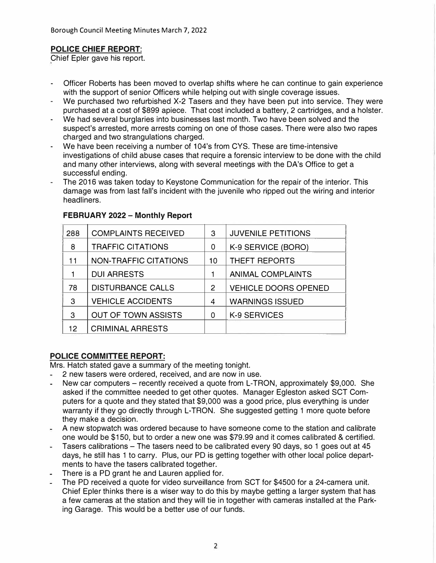# **POLICE CHIEF REPORT:**

Chief Epler gave his report.

- Officer Roberts has been moved to overlap shifts where he can continue to gain experience with the support of senior Officers while helping out with single coverage issues.
- We purchased two refurbished X-2 Tasers and they have been put into service. They were purchased at a cost of \$899 apiece. That cost included a battery, 2 cartridges, and a holster.
- We had several burglaries into businesses last month. Two have been solved and the suspect's arrested, more arrests coming on one of those cases. There were also two rapes charged and two strangulations charged.
- We have been receiving a number of 104's from CYS. These are time-intensive investigations of child abuse cases that require a forensic interview to be done with the child and many other interviews, along with several meetings with the DA's Office to get a successful ending.
- The 2016 was taken today to Keystone Communication for the repair of the interior. This damage was from last fall's incident with the juvenile who ripped out the wiring and interior headliners.

| 288 | <b>COMPLAINTS RECEIVED</b>   | 3  | <b>JUVENILE PETITIONS</b>   |
|-----|------------------------------|----|-----------------------------|
| 8   | <b>TRAFFIC CITATIONS</b>     | 0  | K-9 SERVICE (BORO)          |
| 11  | <b>NON-TRAFFIC CITATIONS</b> | 10 | <b>THEFT REPORTS</b>        |
|     | <b>DUI ARRESTS</b>           |    | <b>ANIMAL COMPLAINTS</b>    |
| 78  | <b>DISTURBANCE CALLS</b>     | 2  | <b>VEHICLE DOORS OPENED</b> |
| 3   | <b>VEHICLE ACCIDENTS</b>     | 4  | <b>WARNINGS ISSUED</b>      |
| 3   | <b>OUT OF TOWN ASSISTS</b>   | 0  | K-9 SERVICES                |
| 12  | <b>CRIMINAL ARRESTS</b>      |    |                             |

# **FEBRUARY 2022 - Monthly Report**

# **POLICE COMMITTEE REPORT:**

Mrs. Hatch stated gave a summary of the meeting tonight.

- 2 new tasers were ordered, received, and are now in use.
- New car computers recently received a quote from L-TRON, approximately \$9,000. She asked if the committee needed to get other quotes. Manager Egleston asked SCT Computers for a quote and they stated that \$9,000 was a good price, plus everything is under warranty if they go directly through L-TRON. She suggested getting 1 more quote before they make a decision.
- A new stopwatch was ordered because to have someone come to the station and calibrate ÷. one would be \$150, but to order a new one was \$79.99 and it comes calibrated & certified.
- Tasers calibrations The tasers need to be calibrated every 90 days, so 1 goes out at 45 days, he still has 1 to carry. Plus, our PD is getting together with other local police departments to have the tasers calibrated together.
- There is a PD grant he and Lauren applied for.
- The PD received a quote for video surveillance from SCT for \$4500 for a 24-camera unit. Chief Epler thinks there is a wiser way to do this by maybe getting a larger system that has a few cameras at the station and they will tie in together with cameras installed at the Parking Garage. This would be a better use of our funds.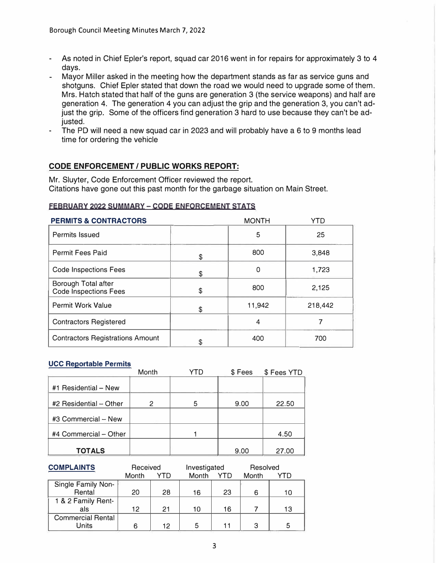- As noted in Chief Epler's report, squad car 2016 went in for repairs for approximately 3 to 4 days.
- Mayor Miller asked in the meeting how the department stands as far as service guns and shotguns. Chief Epler stated that down the road we would need to upgrade some of them. Mrs. Hatch stated that half of the guns are generation 3 (the service weapons) and half are generation 4. The generation 4 you can adjust the grip and the generation 3, you can't adjust the grip. Some of the officers find generation 3 hard to use because they can't be adjusted.
- The PD will need a new squad car in 2023 and will probably have a 6 to 9 months lead time for ordering the vehicle

# **CODE ENFORCEMENT/ PUBLIC WORKS REPORT:**

Mr. Sluyter, Code Enforcement Officer reviewed the report. Citations have gone out this past month for the garbage situation on Main Street.

#### **FEBRUARY 2022 SUMMARY - CODE ENFORCEMENT STATS**

| <b>PERMITS &amp; CONTRACTORS</b>                    | <b>MONTH</b> | YTD     |
|-----------------------------------------------------|--------------|---------|
| Permits Issued                                      | 5            | 25      |
| Permit Fees Paid                                    | \$<br>800    | 3,848   |
| <b>Code Inspections Fees</b>                        | \$<br>0      | 1,723   |
| Borough Total after<br><b>Code Inspections Fees</b> | \$<br>800    | 2,125   |
| <b>Permit Work Value</b>                            | \$<br>11,942 | 218,442 |
| <b>Contractors Registered</b>                       | 4            |         |
| <b>Contractors Registrations Amount</b>             | 400          | 700     |

#### **UCC Reportable Permits**

|                        | Month |   | \$Fees | \$ Fees YTD |
|------------------------|-------|---|--------|-------------|
| #1 Residential - New   |       |   |        |             |
| #2 Residential - Other | 2     | 5 | 9.00   | 22.50       |
| #3 Commercial - New    |       |   |        |             |
| #4 Commercial - Other  |       |   |        | 4.50        |
| <b>TOTALS</b>          |       |   | 9.00   | 27.00       |

| <b>COMPLAINTS</b>        | Received |     | Investigated |            | Resolved |     |
|--------------------------|----------|-----|--------------|------------|----------|-----|
|                          | Month    | YTD | Month        | <b>YTD</b> | Month    | YTN |
| Single Family Non-       |          |     |              |            |          |     |
| Rental                   | 20       | 28  | 16           | 23         | 6        | 10  |
| 1 & 2 Family Rent-       |          |     |              |            |          |     |
| als                      | 12       | 21  | 10           | 16         |          | 13  |
| <b>Commercial Rental</b> |          |     |              |            |          |     |
| Units                    |          | 12  | 5            | 11         | З        | 5   |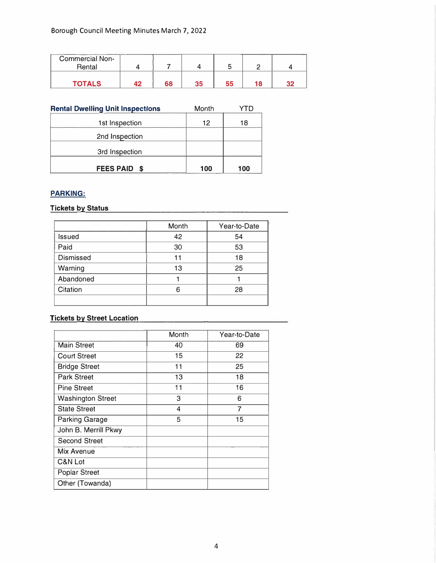| <b>Commercial Non-</b><br>Rental |    |    |    |    |    |
|----------------------------------|----|----|----|----|----|
| <b>TOTALS</b>                    | 68 | マド | 55 | 18 | つつ |

| <b>Rental Dwelling Unit Inspections</b> | Month |     |
|-----------------------------------------|-------|-----|
| 1st Inspection                          | 12    | 18  |
| 2nd Inspection                          |       |     |
| 3rd Inspection                          |       |     |
| <b>FEES PAID</b><br>- S                 | 100   | 100 |

# **PARKING:**

# **Tickets by Status**

|                  | Month | Year-to-Date |
|------------------|-------|--------------|
| <b>Issued</b>    | 42    | 54           |
| Paid             | 30    | 53           |
| <b>Dismissed</b> | 11    | 18           |
| Warning          | 13    | 25           |
| Abandoned        |       |              |
| Citation         | 6     | 28           |
|                  |       |              |

# **Tickets by Street Location**

|                          | Month | Year-to-Date |
|--------------------------|-------|--------------|
| <b>Main Street</b>       | 40    | 69           |
| <b>Court Street</b>      | 15    | 22           |
| <b>Bridge Street</b>     | 11    | 25           |
| <b>Park Street</b>       | 13    | 18           |
| <b>Pine Street</b>       | 11    | 16           |
| <b>Washington Street</b> | 3     | 6            |
| <b>State Street</b>      | 4     | 7            |
| <b>Parking Garage</b>    | 5     | 15           |
| John B. Merrill Pkwy     |       |              |
| <b>Second Street</b>     |       |              |
| Mix Avenue               |       |              |
| C&N Lot                  |       |              |
| <b>Poplar Street</b>     |       |              |
| Other (Towanda)          |       |              |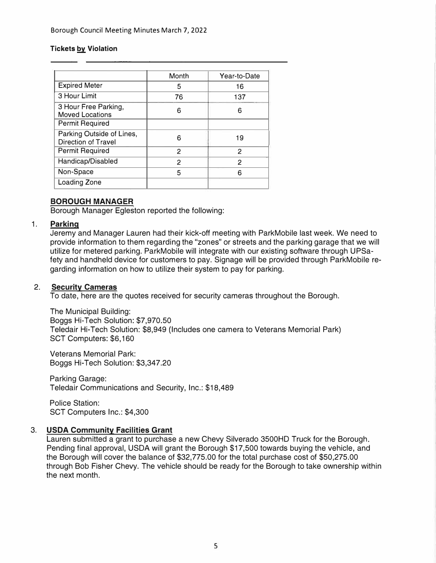#### **Tickets by Violation**

|                                                  | Month          | Year-to-Date |
|--------------------------------------------------|----------------|--------------|
| <b>Expired Meter</b>                             | 5              | 16           |
| 3 Hour Limit                                     | 76             | 137          |
| 3 Hour Free Parking,<br><b>Moved Locations</b>   | 6              | 6            |
| <b>Permit Required</b>                           |                |              |
| Parking Outside of Lines,<br>Direction of Travel | 6              | 19           |
| <b>Permit Required</b>                           | 2              | 2            |
| Handicap/Disabled                                | $\overline{c}$ | 2            |
| Non-Space                                        | 5              | Բ            |
| Loading Zone                                     |                |              |

# **BOROUGH MANAGER**

Borough Manager Egleston reported the following:

#### **1. Parking**

Jeremy and Manager Lauren had their kick-off meeting with ParkMobile last week. We need to provide information to them regarding the "zones" or streets and the parking garage that we will utilize for metered parking. ParkMobile will integrate with our existing software through UPSafety and handheld device for customers to pay. Signage will be provided through ParkMobile regarding information on how to utilize their system to pay for parking.

# **2. Security Cameras**

To date, here are the quotes received for security cameras throughout the Borough.

The Municipal Building: Boggs Hi-Tech Solution: \$7,970.50 Teledair Hi-Tech Solution: \$8,949 (Includes one camera to Veterans Memorial Park) SCT Computers: \$6, 160

Veterans Memorial Park: Boggs Hi-Tech Solution: \$3,347.20

Parking Garage: Teledair Communications and Security, Inc.: \$18,489

Police Station: SCT Computers Inc.: \$4,300

# **3. USDA Community Facilities Grant**

Lauren submitted a grant to purchase a new Chevy Silverado 3500HD Truck for the Borough. Pending final approval, USDA will grant the Borough \$17,500 towards buying the vehicle, and the Borough will cover the balance of \$32,775.00 for the total purchase cost of \$50,275.00 through Bob Fisher Chevy. The vehicle should be ready for the Borough to take ownership within the next month.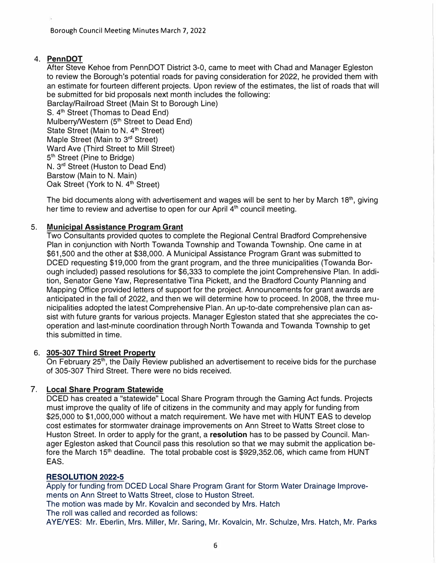# **4. PennDOT**

After Steve Kehoe from PennDOT District 3-0, came to meet with Chad and Manager Egleston to review the Borough's potential roads for paving consideration for 2022, he provided them with an estimate for fourteen different projects. Upon review of the estimates, the list of roads that will be submitted for bid proposals next month includes the following:

Barclay/Railroad Street (Main St to Borough Line) S. 4<sup>th</sup> Street (Thomas to Dead End) Mulberry/Western (5<sup>th</sup> Street to Dead End) State Street (Main to N. 4<sup>th</sup> Street) Maple Street (Main to 3<sup>rd</sup> Street) Ward Ave (Third Street to Mill Street) 5 1 h Street (Pine to Bridge) N. 3 rd Street (Huston to Dead End) Barstow (Main to N. Main) Oak Street (York to N. 4<sup>th</sup> Street)

The bid documents along with advertisement and wages will be sent to her by March 18<sup>th</sup>, giving her time to review and advertise to open for our April 4<sup>th</sup> council meeting.

# 5. **Municipal Assistance Program Grant**

Two Consultants provided quotes to complete the Regional Central Bradford Comprehensive Plan in conjunction with North Towanda Township and Towanda Township. One came in at \$61,500 and the other at \$38,000. A Municipal Assistance Program Grant was submitted to DCED requesting \$19,000 from the grant program, and the three municipalities (Towanda Borough included) passed resolutions for \$6,333 to complete the joint Comprehensive Plan. In addition, Senator Gene Yaw, Representative Tina Pickett, and the Bradford County Planning and Mapping Office provided letters of support for the project. Announcements for grant awards are anticipated in the fall of 2022, and then we will determine how to proceed. In 2008, the three municipalities adopted the latest Comprehensive Plan. An up-to-date comprehensive plan can assist with future grants for various projects. Manager Egleston stated that she appreciates the cooperation and last-minute coordination through North Towanda and Towanda Township to get this submitted in time.

# **6. 305-307 Third Street Property**

On February 25<sup>th</sup>, the Daily Review published an advertisement to receive bids for the purchase of 305-307 Third Street. There were no bids received.

# **7. Local Share Program Statewide**

DCED has created a "statewide" Local Share Program through the Gaming Act funds. Projects must improve the quality of life of citizens in the community and may apply for funding from \$25,000 to \$1,000,000 without a match requirement. We have met with HUNT EAS to develop cost estimates for stormwater drainage improvements on Ann Street to Watts Street close to Huston Street. In order to apply for the grant, a **resolution** has to be passed by Council. Manager Egleston asked that Council pass this resolution so that we may submit the application before the March 15<sup>th</sup> deadline. The total probable cost is \$929,352.06, which came from HUNT EAS.

# **RESOLUTION 2022-5**

Apply for funding from DCED Local Share Program Grant for Storm Water Drainage Improvements on Ann Street to Watts Street, close to Huston Street.

The motion was made by Mr. Kovalcin and seconded by Mrs. Hatch

The roll was called and recorded as follows:

AYE/YES: Mr. Eberlin, Mrs. Miller, Mr. Saring, Mr. Kovalcin, Mr. Schulze, Mrs. Hatch, Mr. Parks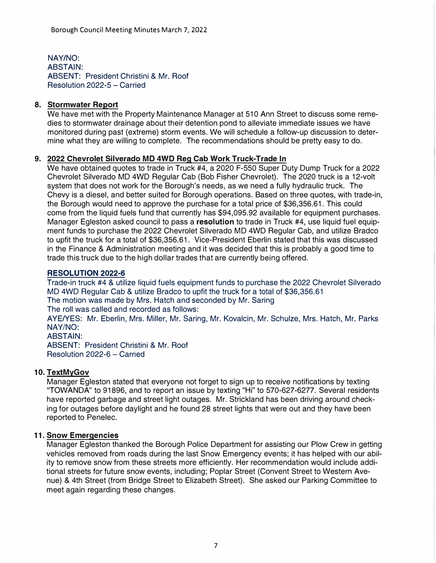NAY/NO: ABSTAIN: ABSENT: President Christini & Mr. Roof Resolution 2022-5 - Carried

# **8. Stormwater Report**

We have met with the Property Maintenance Manager at 510 Ann Street to discuss some remedies to stormwater drainage about their detention pond to alleviate immediate issues we have monitored during past (extreme) storm events. We will schedule a follow-up discussion to determine what they are willing to complete. The recommendations should be pretty easy to do.

# **9. 2022 Chevrolet Silverado MD 4WD Reg Cab Work Truck-Trade In**

We have obtained quotes to trade in Truck #4, a 2020 F-550 Super Duty Dump Truck for a 2022 Chevrolet Silverado MD 4WD Regular Cab (Bob Fisher Chevrolet). The 2020 truck is a 12-volt system that does not work for the Borough's needs, as we need a fully hydraulic truck. The Chevy is a diesel, and better suited for Borough operations. Based on three quotes, with trade-in, the Borough would need to approve the purchase for a total price of \$36,356.61. This could come from the liquid fuels fund that currently has \$94,095.92 available for equipment purchases. Manager Egleston asked council to pass a **resolution** to trade in Truck #4, use liquid fuel equipment funds to purchase the 2022 Chevrolet Silverado MD 4WD Regular Cab, and utilize Bradco to upfit the truck for a total of \$36,356.61. Vice-President Eberlin stated that this was discussed in the Finance & Administration meeting and it was decided that this is probably a good time to trade this truck due to the high dollar trades that are currently being offered.

#### **RESOLUTION 2022-6**

Trade-in truck #4 & utilize liquid fuels equipment funds to purchase the 2022 Chevrolet Silverado MD 4WD Regular Cab & utilize Bradco to upfit the truck for a total of \$36,356.61 The motion was made by Mrs. Hatch and seconded by Mr. Saring The roll was called and recorded as follows:

AYE/YES: Mr. Eberlin, Mrs. Miller, Mr. Saring, Mr. Kovalcin, Mr. Schulze, Mrs. Hatch, Mr. Parks **NAY/NO:**

**ABSTAIN:**

ABSENT: President Christini & Mr. Roof Resolution 2022-6 - Carried

# **10. TextMyGov**

Manager Egleston stated that everyone not forget to sign up to receive notifications by texting "TOWANDA" to 91896, and to report an issue by texting "Hi" to 570-627-6277. Several residents have reported garbage and street light outages. Mr. Strickland has been driving around checking for outages before daylight and he found 28 street lights that were out and they have been reported to Penelec.

# **11. Snow Emergencies**

Manager Egleston thanked the Borough Police Department for assisting our Plow Crew in getting vehicles removed from roads during the last Snow Emergency events; it has helped with our ability to remove snow from these streets more efficiently. Her recommendation would include additional streets for future snow events, including; Poplar Street (Convent Street to Western Avenue) & 4th Street (from Bridge Street to Elizabeth Street). She asked our Parking Committee to meet again regarding these changes.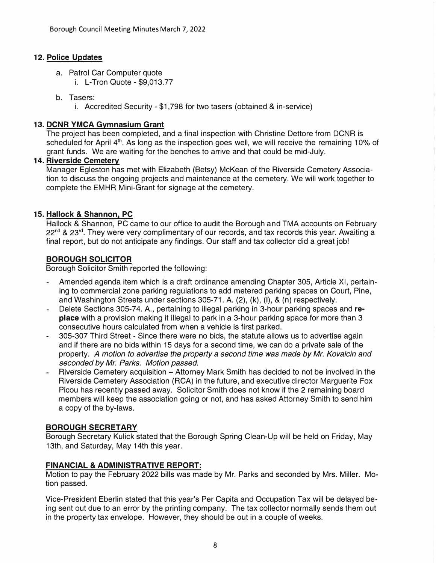# **12. Police Updates**

- a. Patrol Car Computer quote
	- i. L-Tron Quote \$9,013.77
- b. Tasers:
	- i. Accredited Security \$1,798 for two tasers (obtained & in-service)

# **13. DCNR YMCA Gymnasium Grant**

The project has been completed, and a final inspection with Christine Dettore from DCNR is scheduled for April 4<sup>th</sup>. As long as the inspection goes well, we will receive the remaining 10% of grant funds. We are waiting for the benches to arrive and that could be mid-July.

# **14. Riverside Cemetery**

Manager Egleston has met with Elizabeth (Betsy) McKean of the Riverside Cemetery Association to discuss the ongoing projects and maintenance at the cemetery. We will work together to complete the EMHR Mini-Grant for signage at the cemetery.

# **15. Hallock & Shannon, PC**

Hallock & Shannon, PC came to our office to audit the Borough and TMA accounts on February 22<sup>nd</sup> & 23<sup>rd</sup>. They were very complimentary of our records, and tax records this year. Awaiting a final report, but do not anticipate any findings. Our staff and tax collector did a great job!

# **BOROUGH SOLICITOR**

Borough Solicitor Smith reported the following:

- Amended agenda item which is a draft ordinance amending Chapter 305, Article XI, pertaining to commercial zone parking regulations to add metered parking spaces on Court, Pine, and Washington Streets under sections 305-71. A. (2), (k), (1), & (n) respectively.
- Delete Sections 305-74. A., pertaining to illegal parking in 3-hour parking spaces and **replace** with a provision making it illegal to park in a 3-hour parking space for more than 3 consecutive hours calculated from when a vehicle is first parked.
- 305-307 Third Street Since there were no bids, the statute allows us to advertise again and if there are no bids within 15 days for a second time, we can do a private sale of the property. *A motion to advertise the property a second time was made by Mr. Kovalcin and seconded by Mr. Parks. Motion passed.*
- Riverside Cemetery acquisition Attorney Mark Smith has decided to not be involved in the Riverside Cemetery Association (RCA) in the future, and executive director Marguerite Fox Picou has recently passed away. Solicitor Smith does not know if the 2 remaining board members will keep the association going or not, and has asked Attorney Smith to send him a copy of the by-laws.

# **BOROUGH SECRETARY**

Borough Secretary Kulick stated that the Borough Spring Clean-Up will be held on Friday, May 13th, and Saturday, May 14th this year.

# **FINANCIAL & ADMINISTRATIVE REPORT:**

Motion to pay the February 2022 bills was made by Mr. Parks and seconded by Mrs. Miller. Motion passed.

Vice-President Eberlin stated that this year's Per Capita and Occupation Tax will be delayed being sent out due to an error by the printing company. The tax collector normally sends them out in the property tax envelope. However, they should be out in a couple of weeks.